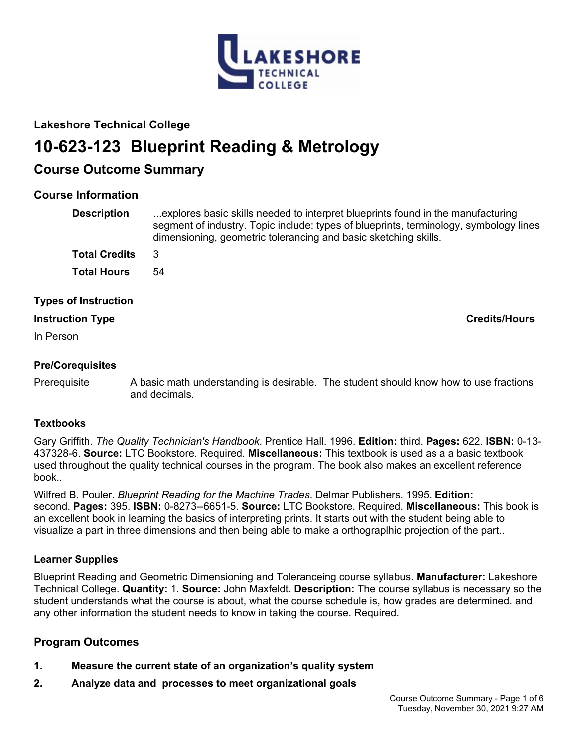

# **Lakeshore Technical College**

# **10-623-123 Blueprint Reading & Metrology**

# **Course Outcome Summary**

# **Course Information**

| <b>Description</b>          | explores basic skills needed to interpret blueprints found in the manufacturing<br>segment of industry. Topic include: types of blueprints, terminology, symbology lines<br>dimensioning, geometric tolerancing and basic sketching skills. |
|-----------------------------|---------------------------------------------------------------------------------------------------------------------------------------------------------------------------------------------------------------------------------------------|
| <b>Total Credits</b>        | 3                                                                                                                                                                                                                                           |
| <b>Total Hours</b>          | 54                                                                                                                                                                                                                                          |
| <b>Types of Instruction</b> |                                                                                                                                                                                                                                             |
| <b>Instruction Type</b>     | <b>Credits/Hours</b>                                                                                                                                                                                                                        |
| In Person                   |                                                                                                                                                                                                                                             |

# **Pre/Corequisites**

Prerequisite A basic math understanding is desirable. The student should know how to use fractions and decimals.

# **Textbooks**

Gary Griffith. *The Quality Technician's Handbook*. Prentice Hall. 1996. **Edition:** third. **Pages:** 622. **ISBN:** 0-13- 437328-6. **Source:** LTC Bookstore. Required. **Miscellaneous:** This textbook is used as a a basic textbook used throughout the quality technical courses in the program. The book also makes an excellent reference book..

Wilfred B. Pouler. *Blueprint Reading for the Machine Trades*. Delmar Publishers. 1995. **Edition:** second. **Pages:** 395. **ISBN:** 0-8273--6651-5. **Source:** LTC Bookstore. Required. **Miscellaneous:** This book is an excellent book in learning the basics of interpreting prints. It starts out with the student being able to visualize a part in three dimensions and then being able to make a orthograplhic projection of the part..

# **Learner Supplies**

Blueprint Reading and Geometric Dimensioning and Toleranceing course syllabus. **Manufacturer:** Lakeshore Technical College. **Quantity:** 1. **Source:** John Maxfeldt. **Description:** The course syllabus is necessary so the student understands what the course is about, what the course schedule is, how grades are determined. and any other information the student needs to know in taking the course. Required.

# **Program Outcomes**

- **1. Measure the current state of an organization's quality system**
- **2. Analyze data and processes to meet organizational goals**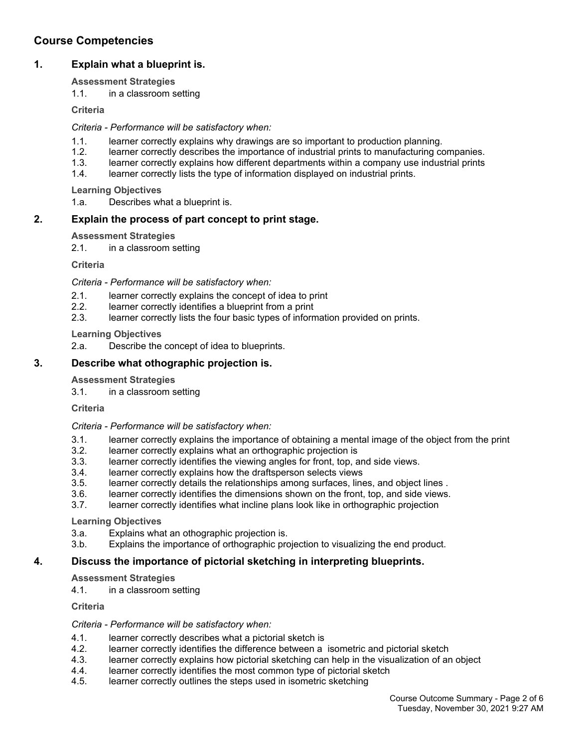# **Course Competencies**

# **1. Explain what a blueprint is.**

#### **Assessment Strategies**

1.1. in a classroom setting

**Criteria**

#### *Criteria - Performance will be satisfactory when:*

- 1.1. learner correctly explains why drawings are so important to production planning.
- 1.2. learner correctly describes the importance of industrial prints to manufacturing companies.
- 1.3. learner correctly explains how different departments within a company use industrial prints
- 1.4. learner correctly lists the type of information displayed on industrial prints.

**Learning Objectives**

1.a. Describes what a blueprint is.

# **2. Explain the process of part concept to print stage.**

### **Assessment Strategies**

2.1. in a classroom setting

**Criteria**

#### *Criteria - Performance will be satisfactory when:*

- 2.1. learner correctly explains the concept of idea to print
- 2.2. learner correctly identifies a blueprint from a print
- 2.3. learner correctly lists the four basic types of information provided on prints.

### **Learning Objectives**

2.a. Describe the concept of idea to blueprints.

# **3. Describe what othographic projection is.**

#### **Assessment Strategies**

3.1. in a classroom setting

**Criteria**

#### *Criteria - Performance will be satisfactory when:*

- 3.1. learner correctly explains the importance of obtaining a mental image of the object from the print
- 3.2. learner correctly explains what an orthographic projection is
- 3.3. learner correctly identifies the viewing angles for front, top, and side views.<br>3.4. learner correctly explains how the draftsperson selects views
- learner correctly explains how the draftsperson selects views
- 3.5. learner correctly details the relationships among surfaces, lines, and object lines .
- 3.6. learner correctly identifies the dimensions shown on the front, top, and side views.
- 3.7. learner correctly identifies what incline plans look like in orthographic projection

#### **Learning Objectives**

- 3.a. Explains what an othographic projection is.<br>3.b. Explains the importance of orthographic pro
- Explains the importance of orthographic projection to visualizing the end product.

#### **4. Discuss the importance of pictorial sketching in interpreting blueprints.**

# **Assessment Strategies**

4.1. in a classroom setting

**Criteria**

#### *Criteria - Performance will be satisfactory when:*

- 4.1. learner correctly describes what a pictorial sketch is
- 4.2. learner correctly identifies the difference between a isometric and pictorial sketch
- 4.3. learner correctly explains how pictorial sketching can help in the visualization of an object
- 4.4. learner correctly identifies the most common type of pictorial sketch
- 4.5. learner correctly outlines the steps used in isometric sketching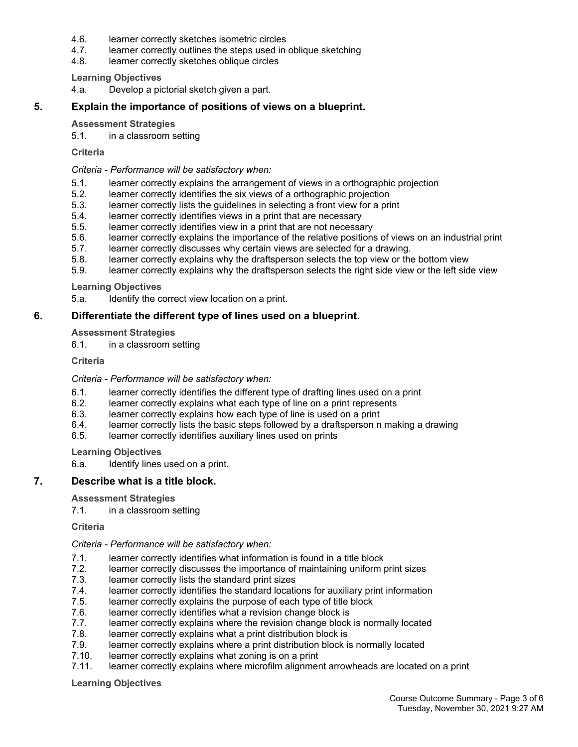- 4.6. learner correctly sketches isometric circles
- 4.7. learner correctly outlines the steps used in oblique sketching
- 4.8. learner correctly sketches oblique circles

#### **Learning Objectives**

4.a. Develop a pictorial sketch given a part.

#### **5. Explain the importance of positions of views on a blueprint.**

#### **Assessment Strategies**

5.1. in a classroom setting

#### **Criteria**

#### *Criteria - Performance will be satisfactory when:*

- 5.1. learner correctly explains the arrangement of views in a orthographic projection
- 5.2. learner correctly identifies the six views of a orthographic projection
- 5.3. learner correctly lists the guidelines in selecting a front view for a print
- 5.4. learner correctly identifies views in a print that are necessary
- 5.5. learner correctly identifies view in a print that are not necessary
- 5.6. learner correctly explains the importance of the relative positions of views on an industrial print
- 5.7. learner correctly discusses why certain views are selected for a drawing.
- 5.8. learner correctly explains why the draftsperson selects the top view or the bottom view
- 5.9. learner correctly explains why the draftsperson selects the right side view or the left side view

#### **Learning Objectives**

5.a. Identify the correct view location on a print.

#### **6. Differentiate the different type of lines used on a blueprint.**

#### **Assessment Strategies**

6.1. in a classroom setting

#### **Criteria**

#### *Criteria - Performance will be satisfactory when:*

- 6.1. learner correctly identifies the different type of drafting lines used on a print
- 6.2. learner correctly explains what each type of line on a print represents
- 6.3. learner correctly explains how each type of line is used on a print
- 6.4. learner correctly lists the basic steps followed by a draftsperson n making a drawing
- 6.5. learner correctly identifies auxiliary lines used on prints

#### **Learning Objectives**

6.a. Identify lines used on a print.

#### **7. Describe what is a title block.**

#### **Assessment Strategies**

7.1. in a classroom setting

#### **Criteria**

#### *Criteria - Performance will be satisfactory when:*

- 7.1. learner correctly identifies what information is found in a title block
- 7.2. learner correctly discusses the importance of maintaining uniform print sizes
- 7.3. learner correctly lists the standard print sizes
- 7.4. learner correctly identifies the standard locations for auxiliary print information<br>7.5. learner correctly explains the purpose of each type of title block
- learner correctly explains the purpose of each type of title block
- 7.6. learner correctly identifies what a revision change block is
- 7.7. learner correctly explains where the revision change block is normally located
- 7.8. learner correctly explains what a print distribution block is
- 7.9. learner correctly explains where a print distribution block is normally located
- 7.10. learner correctly explains what zoning is on a print
- 7.11. learner correctly explains where microfilm alignment arrowheads are located on a print

#### **Learning Objectives**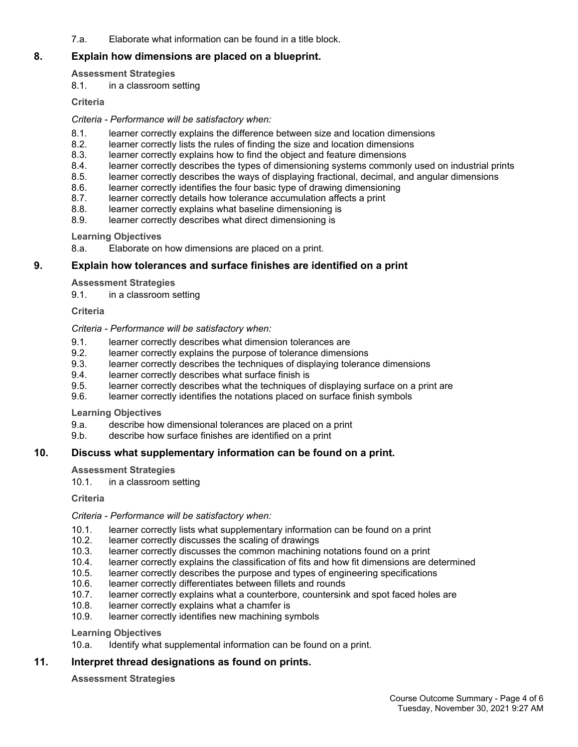7.a. Elaborate what information can be found in a title block.

# **8. Explain how dimensions are placed on a blueprint.**

# **Assessment Strategies**

8.1. in a classroom setting

# **Criteria**

# *Criteria - Performance will be satisfactory when:*

- 8.1. learner correctly explains the difference between size and location dimensions
- 8.2. learner correctly lists the rules of finding the size and location dimensions
- 8.3. learner correctly explains how to find the object and feature dimensions 8.4. learner correctly describes the types of dimensioning systems commonly
- learner correctly describes the types of dimensioning systems commonly used on industrial prints
- 8.5. learner correctly describes the ways of displaying fractional, decimal, and angular dimensions
- 8.6. learner correctly identifies the four basic type of drawing dimensioning<br>8.7. learner correctly details how tolerance accumulation affects a print
- learner correctly details how tolerance accumulation affects a print
- 8.8. learner correctly explains what baseline dimensioning is
- 8.9. learner correctly describes what direct dimensioning is

# **Learning Objectives**

8.a. Elaborate on how dimensions are placed on a print.

# **9. Explain how tolerances and surface finishes are identified on a print**

# **Assessment Strategies**

9.1. in a classroom setting

#### **Criteria**

#### *Criteria - Performance will be satisfactory when:*

- 9.1. learner correctly describes what dimension tolerances are<br>9.2. learner correctly explains the purpose of tolerance dimens
- learner correctly explains the purpose of tolerance dimensions
- 9.3. learner correctly describes the techniques of displaying tolerance dimensions
- 9.4. learner correctly describes what surface finish is
- 9.5. learner correctly describes what the techniques of displaying surface on a print are
- 9.6. learner correctly identifies the notations placed on surface finish symbols

#### **Learning Objectives**

- 9.a. describe how dimensional tolerances are placed on a print
- 9.b. describe how surface finishes are identified on a print

# **10. Discuss what supplementary information can be found on a print.**

#### **Assessment Strategies**

10.1. in a classroom setting

**Criteria**

#### *Criteria - Performance will be satisfactory when:*

- 10.1. learner correctly lists what supplementary information can be found on a print
- 10.2. learner correctly discusses the scaling of drawings<br>10.3. learner correctly discusses the common machining
- 10.3. learner correctly discusses the common machining notations found on a print 10.4. learner correctly explains the classification of fits and how fit dimensions are d
- 10.4. learner correctly explains the classification of fits and how fit dimensions are determined
- 10.5. learner correctly describes the purpose and types of engineering specifications
- 10.6. learner correctly differentiates between fillets and rounds
- 10.7. learner correctly explains what a counterbore, countersink and spot faced holes are
- 10.8. learner correctly explains what a chamfer is
- 10.9. learner correctly identifies new machining symbols

#### **Learning Objectives**

10.a. Identify what supplemental information can be found on a print.

# **11. Interpret thread designations as found on prints.**

#### **Assessment Strategies**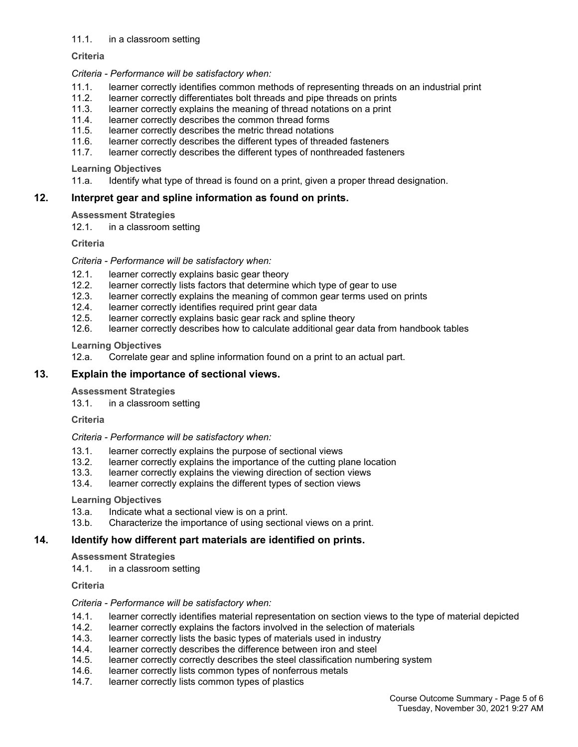#### 11.1. in a classroom setting

#### **Criteria**

#### *Criteria - Performance will be satisfactory when:*

- 11.1. learner correctly identifies common methods of representing threads on an industrial print
- 11.2. learner correctly differentiates bolt threads and pipe threads on prints
- 11.3. learner correctly explains the meaning of thread notations on a print
- 11.4. learner correctly describes the common thread forms
- 11.5. learner correctly describes the metric thread notations
- 11.6. learner correctly describes the different types of threaded fasteners
- 11.7. learner correctly describes the different types of nonthreaded fasteners

#### **Learning Objectives**

11.a. Identify what type of thread is found on a print, given a proper thread designation.

#### **12. Interpret gear and spline information as found on prints.**

#### **Assessment Strategies**

12.1. in a classroom setting

#### **Criteria**

#### *Criteria - Performance will be satisfactory when:*

- 12.1. learner correctly explains basic gear theory<br>12.2. learner correctly lists factors that determine
- learner correctly lists factors that determine which type of gear to use
- 12.3. learner correctly explains the meaning of common gear terms used on prints
- 12.4. learner correctly identifies required print gear data<br>12.5. learner correctly explains basic gear rack and splir
- learner correctly explains basic gear rack and spline theory
- 12.6. learner correctly describes how to calculate additional gear data from handbook tables

#### **Learning Objectives**

12.a. Correlate gear and spline information found on a print to an actual part.

### **13. Explain the importance of sectional views.**

#### **Assessment Strategies**

13.1. in a classroom setting

**Criteria**

#### *Criteria - Performance will be satisfactory when:*

- 13.1. learner correctly explains the purpose of sectional views
- 13.2. learner correctly explains the importance of the cutting plane location 13.3. learner correctly explains the viewing direction of section views
- learner correctly explains the viewing direction of section views
- 13.4. learner correctly explains the different types of section views

#### **Learning Objectives**

- 13.a. Indicate what a sectional view is on a print.
- 13.b. Characterize the importance of using sectional views on a print.

#### **14. Identify how different part materials are identified on prints.**

#### **Assessment Strategies**

14.1. in a classroom setting

#### **Criteria**

#### *Criteria - Performance will be satisfactory when:*

- 14.1. learner correctly identifies material representation on section views to the type of material depicted
- 14.2. learner correctly explains the factors involved in the selection of materials
- 14.3. learner correctly lists the basic types of materials used in industry
- 14.4. learner correctly describes the difference between iron and steel
- 14.5. learner correctly correctly describes the steel classification numbering system
- 14.6. learner correctly lists common types of nonferrous metals
- 14.7. learner correctly lists common types of plastics